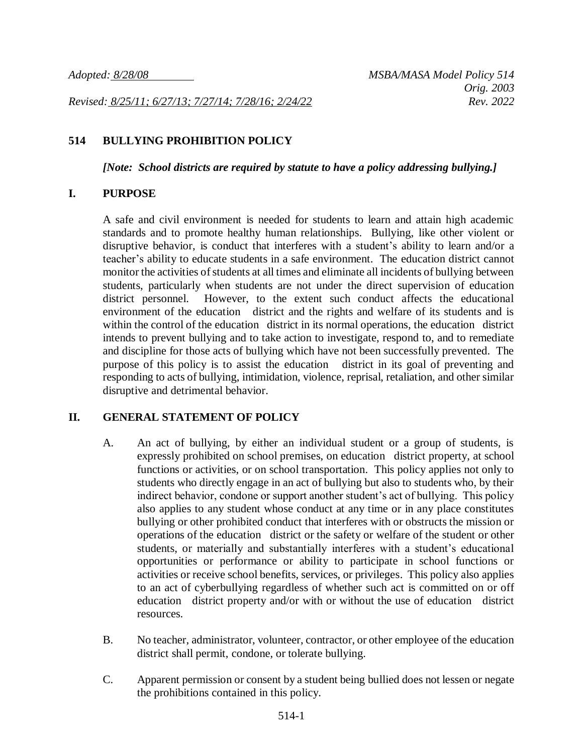*Revised: 8/25/11; 6/27/13; 7/27/14; 7/28/16; 2/24/22 Rev. 2022*

### **514 BULLYING PROHIBITION POLICY**

*[Note: School districts are required by statute to have a policy addressing bullying.]*

### **I. PURPOSE**

A safe and civil environment is needed for students to learn and attain high academic standards and to promote healthy human relationships. Bullying, like other violent or disruptive behavior, is conduct that interferes with a student's ability to learn and/or a teacher's ability to educate students in a safe environment. The education district cannot monitor the activities of students at all times and eliminate all incidents of bullying between students, particularly when students are not under the direct supervision of education district personnel. However, to the extent such conduct affects the educational environment of the education district and the rights and welfare of its students and is within the control of the education district in its normal operations, the education district intends to prevent bullying and to take action to investigate, respond to, and to remediate and discipline for those acts of bullying which have not been successfully prevented. The purpose of this policy is to assist the education district in its goal of preventing and responding to acts of bullying, intimidation, violence, reprisal, retaliation, and other similar disruptive and detrimental behavior.

### **II. GENERAL STATEMENT OF POLICY**

- A. An act of bullying, by either an individual student or a group of students, is expressly prohibited on school premises, on education district property, at school functions or activities, or on school transportation. This policy applies not only to students who directly engage in an act of bullying but also to students who, by their indirect behavior, condone or support another student's act of bullying. This policy also applies to any student whose conduct at any time or in any place constitutes bullying or other prohibited conduct that interferes with or obstructs the mission or operations of the education district or the safety or welfare of the student or other students, or materially and substantially interferes with a student's educational opportunities or performance or ability to participate in school functions or activities or receive school benefits, services, or privileges. This policy also applies to an act of cyberbullying regardless of whether such act is committed on or off education district property and/or with or without the use of education district resources.
- B. No teacher, administrator, volunteer, contractor, or other employee of the education district shall permit, condone, or tolerate bullying.
- C. Apparent permission or consent by a student being bullied does not lessen or negate the prohibitions contained in this policy.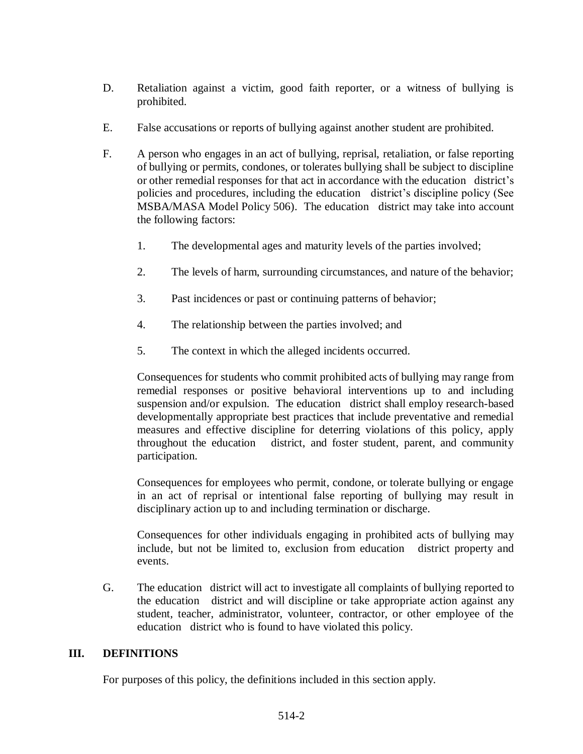- D. Retaliation against a victim, good faith reporter, or a witness of bullying is prohibited.
- E. False accusations or reports of bullying against another student are prohibited.
- F. A person who engages in an act of bullying, reprisal, retaliation, or false reporting of bullying or permits, condones, or tolerates bullying shall be subject to discipline or other remedial responses for that act in accordance with the education district's policies and procedures, including the education district's discipline policy (See MSBA/MASA Model Policy 506). The education district may take into account the following factors:
	- 1. The developmental ages and maturity levels of the parties involved;
	- 2. The levels of harm, surrounding circumstances, and nature of the behavior;
	- 3. Past incidences or past or continuing patterns of behavior;
	- 4. The relationship between the parties involved; and
	- 5. The context in which the alleged incidents occurred.

Consequences for students who commit prohibited acts of bullying may range from remedial responses or positive behavioral interventions up to and including suspension and/or expulsion. The education district shall employ research-based developmentally appropriate best practices that include preventative and remedial measures and effective discipline for deterring violations of this policy, apply throughout the education district, and foster student, parent, and community participation.

Consequences for employees who permit, condone, or tolerate bullying or engage in an act of reprisal or intentional false reporting of bullying may result in disciplinary action up to and including termination or discharge.

Consequences for other individuals engaging in prohibited acts of bullying may include, but not be limited to, exclusion from education district property and events.

G. The education district will act to investigate all complaints of bullying reported to the education district and will discipline or take appropriate action against any student, teacher, administrator, volunteer, contractor, or other employee of the education district who is found to have violated this policy.

### **III. DEFINITIONS**

For purposes of this policy, the definitions included in this section apply.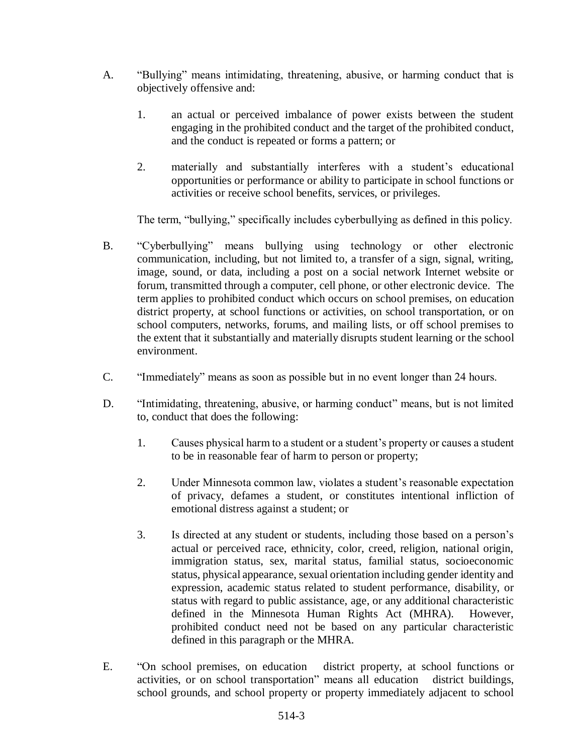- A. "Bullying" means intimidating, threatening, abusive, or harming conduct that is objectively offensive and:
	- 1. an actual or perceived imbalance of power exists between the student engaging in the prohibited conduct and the target of the prohibited conduct, and the conduct is repeated or forms a pattern; or
	- 2. materially and substantially interferes with a student's educational opportunities or performance or ability to participate in school functions or activities or receive school benefits, services, or privileges.

The term, "bullying," specifically includes cyberbullying as defined in this policy.

- B. "Cyberbullying" means bullying using technology or other electronic communication, including, but not limited to, a transfer of a sign, signal, writing, image, sound, or data, including a post on a social network Internet website or forum, transmitted through a computer, cell phone, or other electronic device. The term applies to prohibited conduct which occurs on school premises, on education district property, at school functions or activities, on school transportation, or on school computers, networks, forums, and mailing lists, or off school premises to the extent that it substantially and materially disrupts student learning or the school environment.
- C. "Immediately" means as soon as possible but in no event longer than 24 hours.
- D. "Intimidating, threatening, abusive, or harming conduct" means, but is not limited to, conduct that does the following:
	- 1. Causes physical harm to a student or a student's property or causes a student to be in reasonable fear of harm to person or property;
	- 2. Under Minnesota common law, violates a student's reasonable expectation of privacy, defames a student, or constitutes intentional infliction of emotional distress against a student; or
	- 3. Is directed at any student or students, including those based on a person's actual or perceived race, ethnicity, color, creed, religion, national origin, immigration status, sex, marital status, familial status, socioeconomic status, physical appearance, sexual orientation including gender identity and expression, academic status related to student performance, disability, or status with regard to public assistance, age, or any additional characteristic defined in the Minnesota Human Rights Act (MHRA). However, prohibited conduct need not be based on any particular characteristic defined in this paragraph or the MHRA.
- E. "On school premises, on education district property, at school functions or activities, or on school transportation" means all education district buildings, school grounds, and school property or property immediately adjacent to school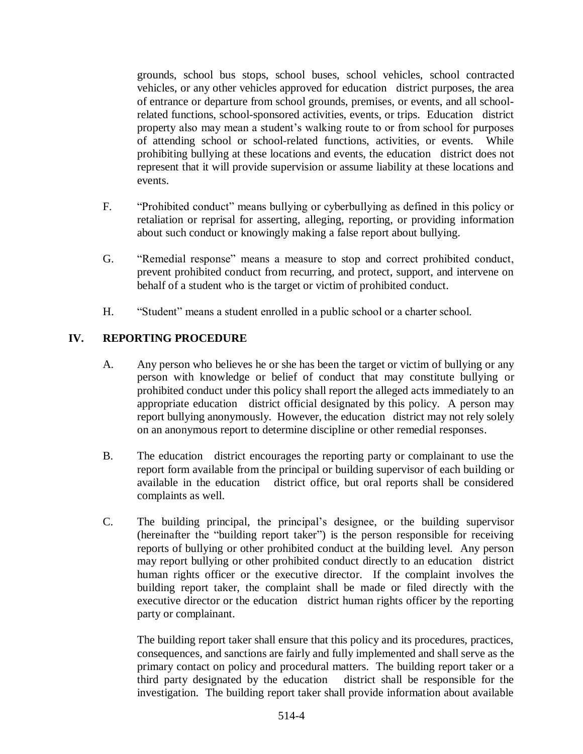grounds, school bus stops, school buses, school vehicles, school contracted vehicles, or any other vehicles approved for education district purposes, the area of entrance or departure from school grounds, premises, or events, and all schoolrelated functions, school-sponsored activities, events, or trips. Education district property also may mean a student's walking route to or from school for purposes of attending school or school-related functions, activities, or events. While prohibiting bullying at these locations and events, the education district does not represent that it will provide supervision or assume liability at these locations and events.

- F. "Prohibited conduct" means bullying or cyberbullying as defined in this policy or retaliation or reprisal for asserting, alleging, reporting, or providing information about such conduct or knowingly making a false report about bullying.
- G. "Remedial response" means a measure to stop and correct prohibited conduct, prevent prohibited conduct from recurring, and protect, support, and intervene on behalf of a student who is the target or victim of prohibited conduct.
- H. "Student" means a student enrolled in a public school or a charter school.

# **IV. REPORTING PROCEDURE**

- A. Any person who believes he or she has been the target or victim of bullying or any person with knowledge or belief of conduct that may constitute bullying or prohibited conduct under this policy shall report the alleged acts immediately to an appropriate education district official designated by this policy. A person may report bullying anonymously. However, the education district may not rely solely on an anonymous report to determine discipline or other remedial responses.
- B. The education district encourages the reporting party or complainant to use the report form available from the principal or building supervisor of each building or available in the education district office, but oral reports shall be considered complaints as well.
- C. The building principal, the principal's designee, or the building supervisor (hereinafter the "building report taker") is the person responsible for receiving reports of bullying or other prohibited conduct at the building level. Any person may report bullying or other prohibited conduct directly to an education district human rights officer or the executive director. If the complaint involves the building report taker, the complaint shall be made or filed directly with the executive director or the education district human rights officer by the reporting party or complainant.

The building report taker shall ensure that this policy and its procedures, practices, consequences, and sanctions are fairly and fully implemented and shall serve as the primary contact on policy and procedural matters. The building report taker or a third party designated by the education district shall be responsible for the investigation. The building report taker shall provide information about available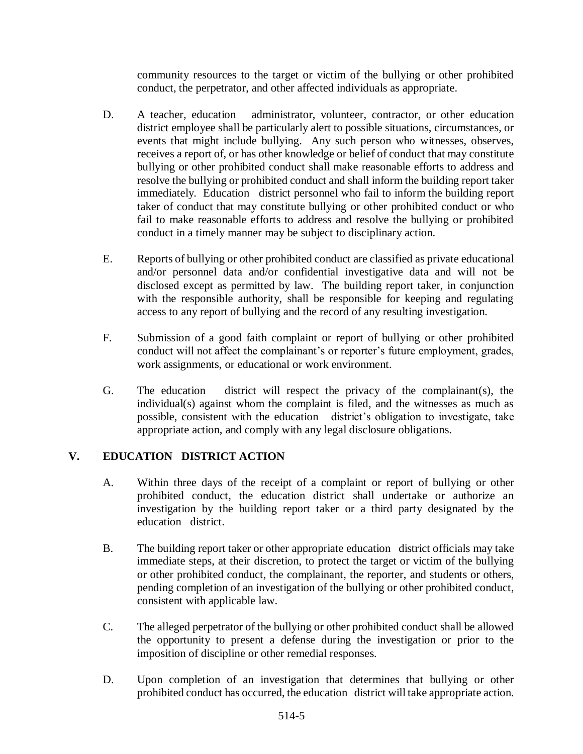community resources to the target or victim of the bullying or other prohibited conduct, the perpetrator, and other affected individuals as appropriate.

- D. A teacher, education administrator, volunteer, contractor, or other education district employee shall be particularly alert to possible situations, circumstances, or events that might include bullying. Any such person who witnesses, observes, receives a report of, or has other knowledge or belief of conduct that may constitute bullying or other prohibited conduct shall make reasonable efforts to address and resolve the bullying or prohibited conduct and shall inform the building report taker immediately. Education district personnel who fail to inform the building report taker of conduct that may constitute bullying or other prohibited conduct or who fail to make reasonable efforts to address and resolve the bullying or prohibited conduct in a timely manner may be subject to disciplinary action.
- E. Reports of bullying or other prohibited conduct are classified as private educational and/or personnel data and/or confidential investigative data and will not be disclosed except as permitted by law. The building report taker, in conjunction with the responsible authority, shall be responsible for keeping and regulating access to any report of bullying and the record of any resulting investigation.
- F. Submission of a good faith complaint or report of bullying or other prohibited conduct will not affect the complainant's or reporter's future employment, grades, work assignments, or educational or work environment.
- G. The education district will respect the privacy of the complainant(s), the individual(s) against whom the complaint is filed, and the witnesses as much as possible, consistent with the education district's obligation to investigate, take appropriate action, and comply with any legal disclosure obligations.

# **V. EDUCATION DISTRICT ACTION**

- A. Within three days of the receipt of a complaint or report of bullying or other prohibited conduct, the education district shall undertake or authorize an investigation by the building report taker or a third party designated by the education district.
- B. The building report taker or other appropriate education district officials may take immediate steps, at their discretion, to protect the target or victim of the bullying or other prohibited conduct, the complainant, the reporter, and students or others, pending completion of an investigation of the bullying or other prohibited conduct, consistent with applicable law.
- C. The alleged perpetrator of the bullying or other prohibited conduct shall be allowed the opportunity to present a defense during the investigation or prior to the imposition of discipline or other remedial responses.
- D. Upon completion of an investigation that determines that bullying or other prohibited conduct has occurred, the education district will take appropriate action.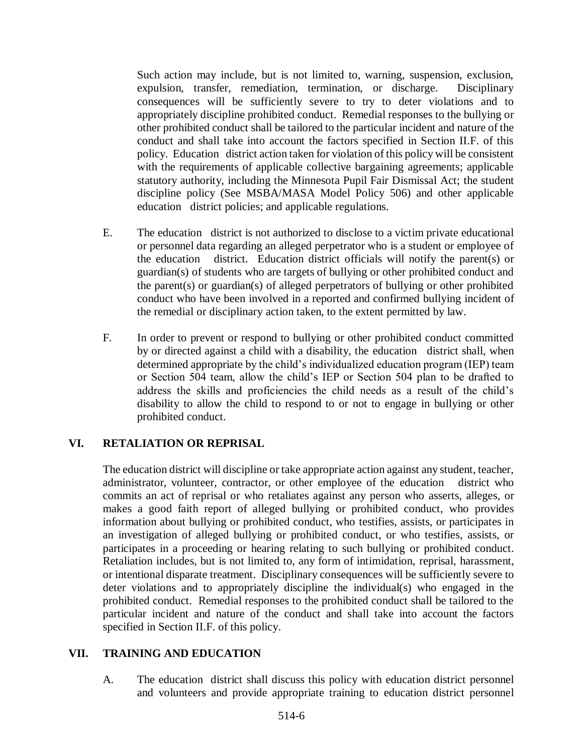Such action may include, but is not limited to, warning, suspension, exclusion, expulsion, transfer, remediation, termination, or discharge. Disciplinary consequences will be sufficiently severe to try to deter violations and to appropriately discipline prohibited conduct. Remedial responses to the bullying or other prohibited conduct shall be tailored to the particular incident and nature of the conduct and shall take into account the factors specified in Section II.F. of this policy. Education district action taken for violation of this policy will be consistent with the requirements of applicable collective bargaining agreements; applicable statutory authority, including the Minnesota Pupil Fair Dismissal Act; the student discipline policy (See MSBA/MASA Model Policy 506) and other applicable education district policies; and applicable regulations.

- E. The education district is not authorized to disclose to a victim private educational or personnel data regarding an alleged perpetrator who is a student or employee of the education district. Education district officials will notify the parent(s) or guardian(s) of students who are targets of bullying or other prohibited conduct and the parent(s) or guardian(s) of alleged perpetrators of bullying or other prohibited conduct who have been involved in a reported and confirmed bullying incident of the remedial or disciplinary action taken, to the extent permitted by law.
- F. In order to prevent or respond to bullying or other prohibited conduct committed by or directed against a child with a disability, the education district shall, when determined appropriate by the child's individualized education program (IEP) team or Section 504 team, allow the child's IEP or Section 504 plan to be drafted to address the skills and proficiencies the child needs as a result of the child's disability to allow the child to respond to or not to engage in bullying or other prohibited conduct.

## **VI. RETALIATION OR REPRISAL**

The education district will discipline or take appropriate action against any student, teacher, administrator, volunteer, contractor, or other employee of the education district who commits an act of reprisal or who retaliates against any person who asserts, alleges, or makes a good faith report of alleged bullying or prohibited conduct, who provides information about bullying or prohibited conduct, who testifies, assists, or participates in an investigation of alleged bullying or prohibited conduct, or who testifies, assists, or participates in a proceeding or hearing relating to such bullying or prohibited conduct. Retaliation includes, but is not limited to, any form of intimidation, reprisal, harassment, or intentional disparate treatment. Disciplinary consequences will be sufficiently severe to deter violations and to appropriately discipline the individual(s) who engaged in the prohibited conduct. Remedial responses to the prohibited conduct shall be tailored to the particular incident and nature of the conduct and shall take into account the factors specified in Section II.F. of this policy.

### **VII. TRAINING AND EDUCATION**

A. The education district shall discuss this policy with education district personnel and volunteers and provide appropriate training to education district personnel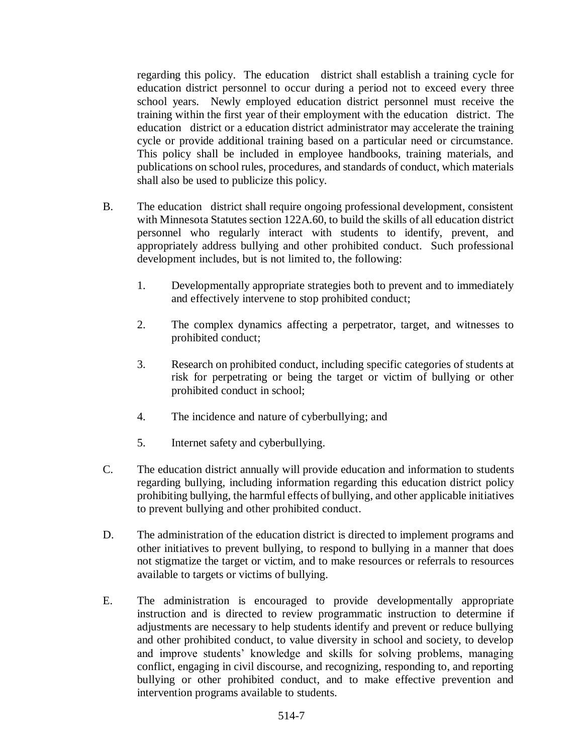regarding this policy. The education district shall establish a training cycle for education district personnel to occur during a period not to exceed every three school years. Newly employed education district personnel must receive the training within the first year of their employment with the education district. The education district or a education district administrator may accelerate the training cycle or provide additional training based on a particular need or circumstance. This policy shall be included in employee handbooks, training materials, and publications on school rules, procedures, and standards of conduct, which materials shall also be used to publicize this policy.

- B. The education district shall require ongoing professional development, consistent with Minnesota Statutes section 122A.60, to build the skills of all education district personnel who regularly interact with students to identify, prevent, and appropriately address bullying and other prohibited conduct. Such professional development includes, but is not limited to, the following:
	- 1. Developmentally appropriate strategies both to prevent and to immediately and effectively intervene to stop prohibited conduct;
	- 2. The complex dynamics affecting a perpetrator, target, and witnesses to prohibited conduct;
	- 3. Research on prohibited conduct, including specific categories of students at risk for perpetrating or being the target or victim of bullying or other prohibited conduct in school;
	- 4. The incidence and nature of cyberbullying; and
	- 5. Internet safety and cyberbullying.
- C. The education district annually will provide education and information to students regarding bullying, including information regarding this education district policy prohibiting bullying, the harmful effects of bullying, and other applicable initiatives to prevent bullying and other prohibited conduct.
- D. The administration of the education district is directed to implement programs and other initiatives to prevent bullying, to respond to bullying in a manner that does not stigmatize the target or victim, and to make resources or referrals to resources available to targets or victims of bullying.
- E. The administration is encouraged to provide developmentally appropriate instruction and is directed to review programmatic instruction to determine if adjustments are necessary to help students identify and prevent or reduce bullying and other prohibited conduct, to value diversity in school and society, to develop and improve students' knowledge and skills for solving problems, managing conflict, engaging in civil discourse, and recognizing, responding to, and reporting bullying or other prohibited conduct, and to make effective prevention and intervention programs available to students.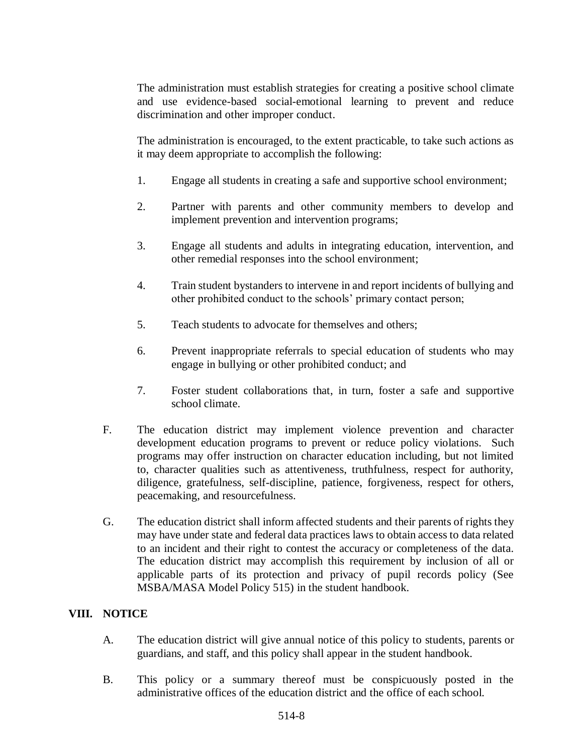The administration must establish strategies for creating a positive school climate and use evidence-based social-emotional learning to prevent and reduce discrimination and other improper conduct.

The administration is encouraged, to the extent practicable, to take such actions as it may deem appropriate to accomplish the following:

- 1. Engage all students in creating a safe and supportive school environment;
- 2. Partner with parents and other community members to develop and implement prevention and intervention programs;
- 3. Engage all students and adults in integrating education, intervention, and other remedial responses into the school environment;
- 4. Train student bystanders to intervene in and report incidents of bullying and other prohibited conduct to the schools' primary contact person;
- 5. Teach students to advocate for themselves and others;
- 6. Prevent inappropriate referrals to special education of students who may engage in bullying or other prohibited conduct; and
- 7. Foster student collaborations that, in turn, foster a safe and supportive school climate.
- F. The education district may implement violence prevention and character development education programs to prevent or reduce policy violations. Such programs may offer instruction on character education including, but not limited to, character qualities such as attentiveness, truthfulness, respect for authority, diligence, gratefulness, self-discipline, patience, forgiveness, respect for others, peacemaking, and resourcefulness.
- G. The education district shall inform affected students and their parents of rights they may have under state and federal data practices laws to obtain access to data related to an incident and their right to contest the accuracy or completeness of the data. The education district may accomplish this requirement by inclusion of all or applicable parts of its protection and privacy of pupil records policy (See MSBA/MASA Model Policy 515) in the student handbook.

## **VIII. NOTICE**

- A. The education district will give annual notice of this policy to students, parents or guardians, and staff, and this policy shall appear in the student handbook.
- B. This policy or a summary thereof must be conspicuously posted in the administrative offices of the education district and the office of each school.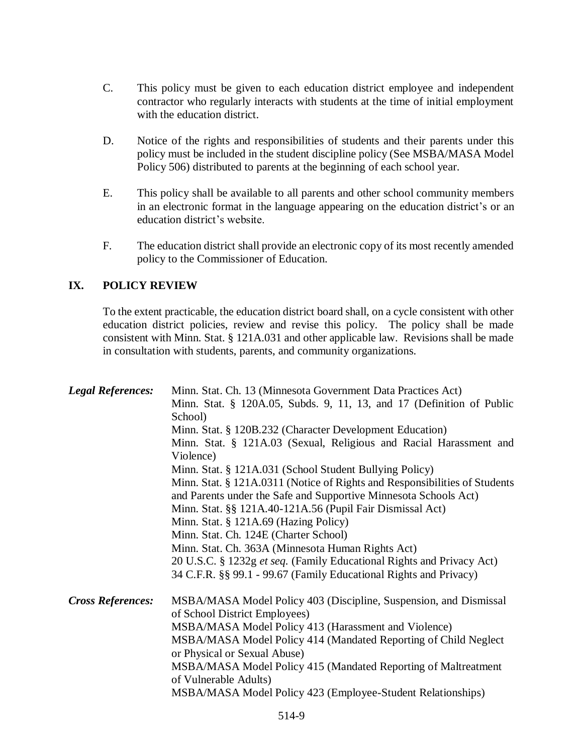- C. This policy must be given to each education district employee and independent contractor who regularly interacts with students at the time of initial employment with the education district.
- D. Notice of the rights and responsibilities of students and their parents under this policy must be included in the student discipline policy (See MSBA/MASA Model Policy 506) distributed to parents at the beginning of each school year.
- E. This policy shall be available to all parents and other school community members in an electronic format in the language appearing on the education district's or an education district's website.
- F. The education district shall provide an electronic copy of its most recently amended policy to the Commissioner of Education.

## **IX. POLICY REVIEW**

To the extent practicable, the education district board shall, on a cycle consistent with other education district policies, review and revise this policy. The policy shall be made consistent with Minn. Stat. § 121A.031 and other applicable law. Revisions shall be made in consultation with students, parents, and community organizations.

| <b>Legal References:</b> | Minn. Stat. Ch. 13 (Minnesota Government Data Practices Act)<br>Minn. Stat. § 120A.05, Subds. 9, 11, 13, and 17 (Definition of Public<br>School)<br>Minn. Stat. § 120B.232 (Character Development Education)<br>Minn. Stat. § 121A.03 (Sexual, Religious and Racial Harassment and<br>Violence)<br>Minn. Stat. § 121A.031 (School Student Bullying Policy)<br>Minn. Stat. § 121A.0311 (Notice of Rights and Responsibilities of Students<br>and Parents under the Safe and Supportive Minnesota Schools Act)<br>Minn. Stat. §§ 121A.40-121A.56 (Pupil Fair Dismissal Act)<br>Minn. Stat. § 121A.69 (Hazing Policy)<br>Minn. Stat. Ch. 124E (Charter School)<br>Minn. Stat. Ch. 363A (Minnesota Human Rights Act) |
|--------------------------|------------------------------------------------------------------------------------------------------------------------------------------------------------------------------------------------------------------------------------------------------------------------------------------------------------------------------------------------------------------------------------------------------------------------------------------------------------------------------------------------------------------------------------------------------------------------------------------------------------------------------------------------------------------------------------------------------------------|
|                          | 20 U.S.C. § 1232g et seq. (Family Educational Rights and Privacy Act)<br>34 C.F.R. §§ 99.1 - 99.67 (Family Educational Rights and Privacy)                                                                                                                                                                                                                                                                                                                                                                                                                                                                                                                                                                       |
| <b>Cross References:</b> | MSBA/MASA Model Policy 403 (Discipline, Suspension, and Dismissal<br>of School District Employees)<br>MSBA/MASA Model Policy 413 (Harassment and Violence)<br>MSBA/MASA Model Policy 414 (Mandated Reporting of Child Neglect<br>or Physical or Sexual Abuse)<br>MSBA/MASA Model Policy 415 (Mandated Reporting of Maltreatment<br>of Vulnerable Adults)<br>MSBA/MASA Model Policy 423 (Employee-Student Relationships)                                                                                                                                                                                                                                                                                          |